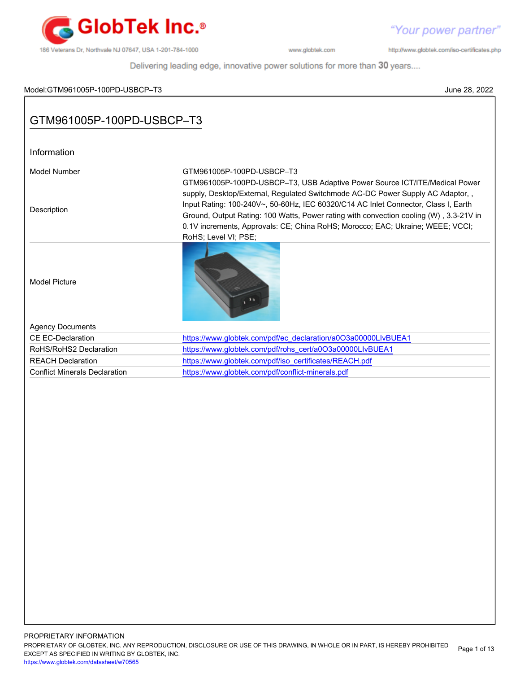

"Your power partner"

http://www.globtek.com/iso-certificates.php

| Model:GTM961005P-100PD-USBCP–T3      | June 28, 2022                                                                                                                                                                                                                                                                                                                                                                                                                                          |
|--------------------------------------|--------------------------------------------------------------------------------------------------------------------------------------------------------------------------------------------------------------------------------------------------------------------------------------------------------------------------------------------------------------------------------------------------------------------------------------------------------|
| GTM961005P-100PD-USBCP-T3            |                                                                                                                                                                                                                                                                                                                                                                                                                                                        |
| Information                          |                                                                                                                                                                                                                                                                                                                                                                                                                                                        |
| <b>Model Number</b>                  | GTM961005P-100PD-USBCP-T3                                                                                                                                                                                                                                                                                                                                                                                                                              |
| Description                          | GTM961005P-100PD-USBCP-T3, USB Adaptive Power Source ICT/ITE/Medical Power<br>supply, Desktop/External, Regulated Switchmode AC-DC Power Supply AC Adaptor,,<br>Input Rating: 100-240V~, 50-60Hz, IEC 60320/C14 AC Inlet Connector, Class I, Earth<br>Ground, Output Rating: 100 Watts, Power rating with convection cooling (W), 3.3-21V in<br>0.1V increments, Approvals: CE; China RoHS; Morocco; EAC; Ukraine; WEEE; VCCI;<br>RoHS; Level VI; PSE; |
| <b>Model Picture</b>                 |                                                                                                                                                                                                                                                                                                                                                                                                                                                        |
| <b>Agency Documents</b>              |                                                                                                                                                                                                                                                                                                                                                                                                                                                        |
| <b>CE EC-Declaration</b>             | https://www.globtek.com/pdf/ec_declaration/a0O3a00000LIvBUEA1                                                                                                                                                                                                                                                                                                                                                                                          |
| RoHS/RoHS2 Declaration               | https://www.globtek.com/pdf/rohs_cert/a0O3a00000LIvBUEA1                                                                                                                                                                                                                                                                                                                                                                                               |
| <b>REACH Declaration</b>             | https://www.globtek.com/pdf/iso_certificates/REACH.pdf                                                                                                                                                                                                                                                                                                                                                                                                 |
| <b>Conflict Minerals Declaration</b> | https://www.globtek.com/pdf/conflict-minerals.pdf                                                                                                                                                                                                                                                                                                                                                                                                      |
|                                      |                                                                                                                                                                                                                                                                                                                                                                                                                                                        |
|                                      |                                                                                                                                                                                                                                                                                                                                                                                                                                                        |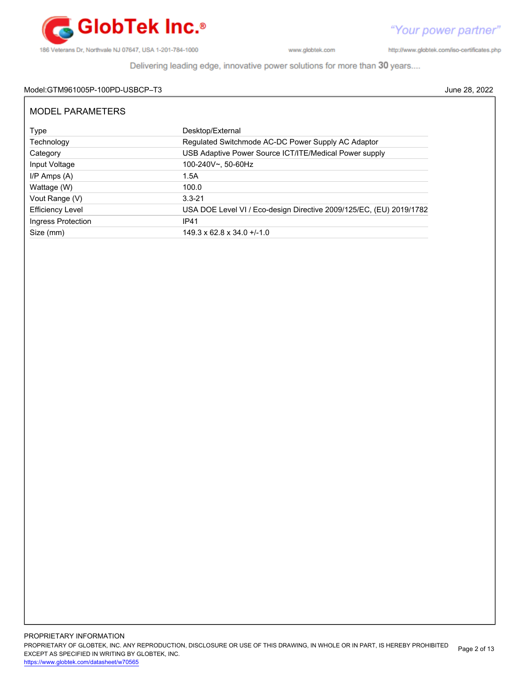

http://www.globtek.com/iso-certificates.php

Delivering leading edge, innovative power solutions for more than 30 years....

## Model:GTM961005P-100PD-USBCP–T3 June 28, 2022

| MODEL PARAMETERS        |                                                                     |
|-------------------------|---------------------------------------------------------------------|
| Type                    | Desktop/External                                                    |
| Technology              | Regulated Switchmode AC-DC Power Supply AC Adaptor                  |
| Category                | USB Adaptive Power Source ICT/ITE/Medical Power supply              |
| Input Voltage           | 100-240V~, 50-60Hz                                                  |
| $I/P$ Amps $(A)$        | 1.5A                                                                |
| Wattage (W)             | 100.0                                                               |
| Vout Range (V)          | $3.3 - 21$                                                          |
| <b>Efficiency Level</b> | USA DOE Level VI / Eco-design Directive 2009/125/EC, (EU) 2019/1782 |
| Ingress Protection      | <b>IP41</b>                                                         |
| Size (mm)               | $149.3 \times 62.8 \times 34.0 + (-1.0)$                            |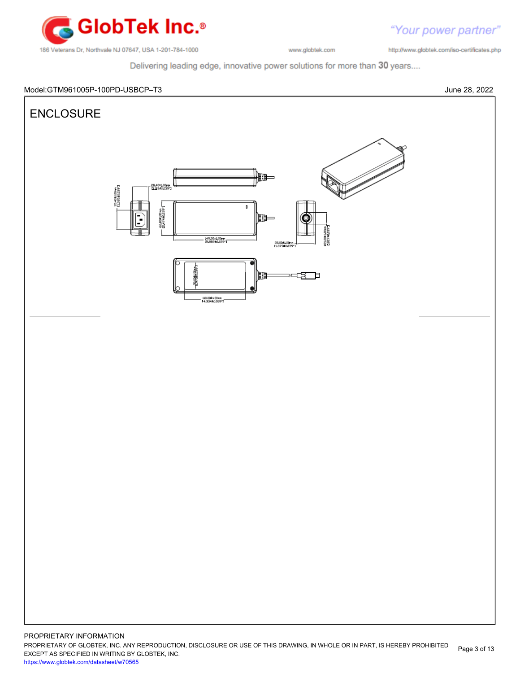

http://www.globtek.com/iso-certificates.php

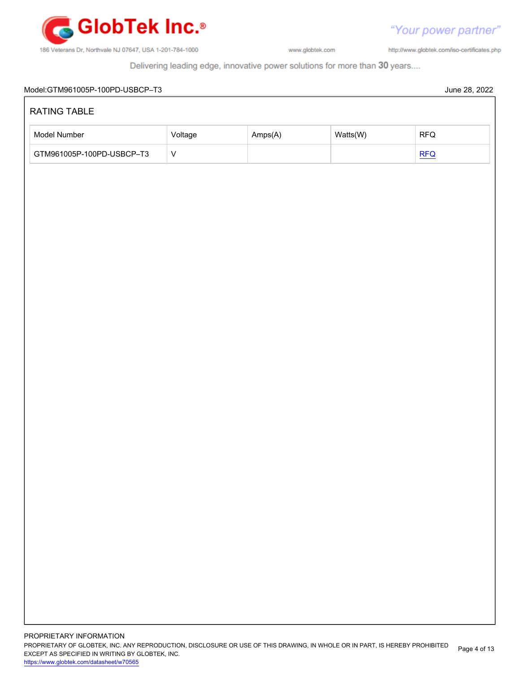

http://www.globtek.com/iso-certificates.php

| Model Number              | Voltage   | Amps(A) | Watts(W) | $\ensuremath{\mathsf{RFQ}}$ |
|---------------------------|-----------|---------|----------|-----------------------------|
| GTM961005P-100PD-USBCP-T3 | ${\sf V}$ |         |          | REQ                         |
|                           |           |         |          |                             |
|                           |           |         |          |                             |
|                           |           |         |          |                             |
|                           |           |         |          |                             |
|                           |           |         |          |                             |
|                           |           |         |          |                             |
|                           |           |         |          |                             |
|                           |           |         |          |                             |
|                           |           |         |          |                             |
|                           |           |         |          |                             |
|                           |           |         |          |                             |
|                           |           |         |          |                             |
|                           |           |         |          |                             |
|                           |           |         |          |                             |
|                           |           |         |          |                             |
|                           |           |         |          |                             |
|                           |           |         |          |                             |
|                           |           |         |          |                             |
|                           |           |         |          |                             |
|                           |           |         |          |                             |
|                           |           |         |          |                             |
|                           |           |         |          |                             |
|                           |           |         |          |                             |
|                           |           |         |          |                             |
|                           |           |         |          |                             |
|                           |           |         |          |                             |
|                           |           |         |          |                             |
|                           |           |         |          |                             |
|                           |           |         |          |                             |
|                           |           |         |          |                             |
|                           |           |         |          |                             |
|                           |           |         |          |                             |
|                           |           |         |          |                             |
|                           |           |         |          |                             |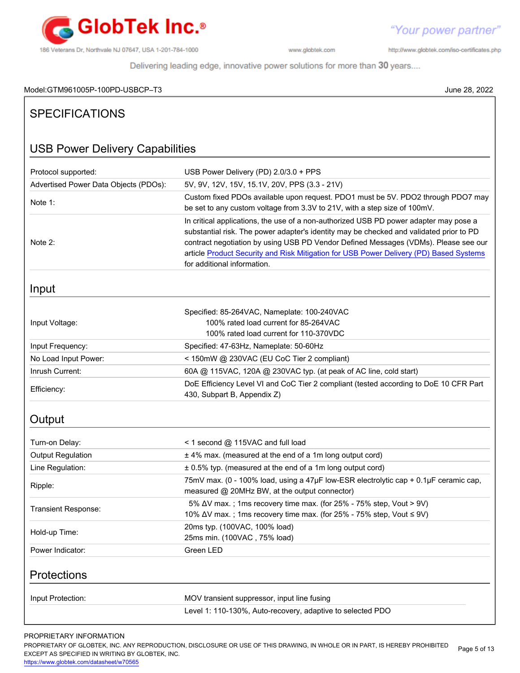

http://www.globtek.com/iso-certificates.php

Delivering leading edge, innovative power solutions for more than 30 years....

# Model:GTM961005P-100PD-USBCP–T3 June 28, 2022

| <b>SPECIFICATIONS</b>                  |                                                                                                                                                                                                                                                                                                                                                                                                  |  |  |
|----------------------------------------|--------------------------------------------------------------------------------------------------------------------------------------------------------------------------------------------------------------------------------------------------------------------------------------------------------------------------------------------------------------------------------------------------|--|--|
| <b>USB Power Delivery Capabilities</b> |                                                                                                                                                                                                                                                                                                                                                                                                  |  |  |
| Protocol supported:                    | USB Power Delivery (PD) 2.0/3.0 + PPS                                                                                                                                                                                                                                                                                                                                                            |  |  |
| Advertised Power Data Objects (PDOs):  | 5V, 9V, 12V, 15V, 15.1V, 20V, PPS (3.3 - 21V)                                                                                                                                                                                                                                                                                                                                                    |  |  |
| Note 1:                                | Custom fixed PDOs available upon request. PDO1 must be 5V. PDO2 through PDO7 may<br>be set to any custom voltage from 3.3V to 21V, with a step size of 100mV.                                                                                                                                                                                                                                    |  |  |
| Note 2:                                | In critical applications, the use of a non-authorized USB PD power adapter may pose a<br>substantial risk. The power adapter's identity may be checked and validated prior to PD<br>contract negotiation by using USB PD Vendor Defined Messages (VDMs). Please see our<br>article Product Security and Risk Mitigation for USB Power Delivery (PD) Based Systems<br>for additional information. |  |  |
| Input                                  |                                                                                                                                                                                                                                                                                                                                                                                                  |  |  |
| Input Voltage:                         | Specified: 85-264VAC, Nameplate: 100-240VAC<br>100% rated load current for 85-264VAC<br>100% rated load current for 110-370VDC                                                                                                                                                                                                                                                                   |  |  |
| Input Frequency:                       | Specified: 47-63Hz, Nameplate: 50-60Hz                                                                                                                                                                                                                                                                                                                                                           |  |  |
| No Load Input Power:                   | < 150mW @ 230VAC (EU CoC Tier 2 compliant)                                                                                                                                                                                                                                                                                                                                                       |  |  |
| Inrush Current:                        | 60A @ 115VAC, 120A @ 230VAC typ. (at peak of AC line, cold start)                                                                                                                                                                                                                                                                                                                                |  |  |
| Efficiency:                            | DoE Efficiency Level VI and CoC Tier 2 compliant (tested according to DoE 10 CFR Part<br>430, Subpart B, Appendix Z)                                                                                                                                                                                                                                                                             |  |  |
| Output                                 |                                                                                                                                                                                                                                                                                                                                                                                                  |  |  |
| Turn-on Delay:                         | < 1 second @ 115VAC and full load                                                                                                                                                                                                                                                                                                                                                                |  |  |
| <b>Output Regulation</b>               | ± 4% max. (measured at the end of a 1m long output cord)                                                                                                                                                                                                                                                                                                                                         |  |  |
| Line Regulation:                       | ± 0.5% typ. (measured at the end of a 1m long output cord)                                                                                                                                                                                                                                                                                                                                       |  |  |
| Ripple:                                | 75mV max. (0 - 100% load, using a 47µF low-ESR electrolytic cap + 0.1µF ceramic cap,<br>measured @ 20MHz BW, at the output connector)                                                                                                                                                                                                                                                            |  |  |
| Transient Response:                    | 5% ΔV max.; 1ms recovery time max. (for 25% - 75% step, Vout > 9V)<br>10% ∆V max.; 1ms recovery time max. (for 25% - 75% step, Vout ≤ 9V)                                                                                                                                                                                                                                                        |  |  |
| Hold-up Time:                          | 20ms typ. (100VAC, 100% load)<br>25ms min. (100VAC, 75% load)                                                                                                                                                                                                                                                                                                                                    |  |  |
| Power Indicator:                       | Green LED                                                                                                                                                                                                                                                                                                                                                                                        |  |  |
| Protections                            |                                                                                                                                                                                                                                                                                                                                                                                                  |  |  |
| Input Protection:                      | MOV transient suppressor, input line fusing                                                                                                                                                                                                                                                                                                                                                      |  |  |
|                                        | Level 1: 110-130%, Auto-recovery, adaptive to selected PDO                                                                                                                                                                                                                                                                                                                                       |  |  |

# PROPRIETARY INFORMATION

PROPRIETARY OF GLOBTEK, INC. ANY REPRODUCTION, DISCLOSURE OR USE OF THIS DRAWING, IN WHOLE OR IN PART, IS HEREBY PROHIBITED EXCEPT AS SPECIFIED IN WRITING BY GLOBTEK, INC. Page 5 of 13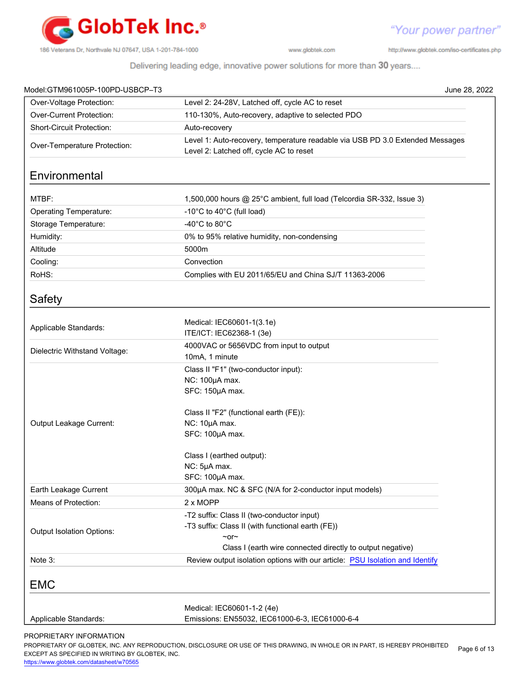

http://www.globtek.com/iso-certificates.php

"Your power partner"

Delivering leading edge, innovative power solutions for more than 30 years....

|                                                                                                                          | June 28, 2022                                                                                                                  |  |
|--------------------------------------------------------------------------------------------------------------------------|--------------------------------------------------------------------------------------------------------------------------------|--|
| Level 2: 24-28V, Latched off, cycle AC to reset                                                                          |                                                                                                                                |  |
| 110-130%, Auto-recovery, adaptive to selected PDO                                                                        |                                                                                                                                |  |
| Auto-recovery                                                                                                            |                                                                                                                                |  |
| Level 1: Auto-recovery, temperature readable via USB PD 3.0 Extended Messages<br>Level 2: Latched off, cycle AC to reset |                                                                                                                                |  |
|                                                                                                                          |                                                                                                                                |  |
| 1,500,000 hours @ 25°C ambient, full load (Telcordia SR-332, Issue 3)                                                    |                                                                                                                                |  |
| -10°C to 40°C (full load)                                                                                                |                                                                                                                                |  |
| -40 $^{\circ}$ C to 80 $^{\circ}$ C                                                                                      |                                                                                                                                |  |
| 0% to 95% relative humidity, non-condensing                                                                              |                                                                                                                                |  |
| 5000m                                                                                                                    |                                                                                                                                |  |
| Convection                                                                                                               |                                                                                                                                |  |
| Complies with EU 2011/65/EU and China SJ/T 11363-2006                                                                    |                                                                                                                                |  |
|                                                                                                                          |                                                                                                                                |  |
| Medical: IEC60601-1(3.1e)<br>ITE/ICT: IEC62368-1 (3e)                                                                    |                                                                                                                                |  |
| 4000VAC or 5656VDC from input to output                                                                                  |                                                                                                                                |  |
| Class II "F1" (two-conductor input):<br>NC: 100µA max.<br>SFC: 150µA max.                                                |                                                                                                                                |  |
| Class II "F2" (functional earth (FE)):<br>NC: 10µA max.<br>SFC: 100µA max.                                               |                                                                                                                                |  |
| Class I (earthed output):<br>NC: 5µA max.<br>SFC: 100µA max.                                                             |                                                                                                                                |  |
| 300µA max. NC & SFC (N/A for 2-conductor input models)                                                                   |                                                                                                                                |  |
| 2 x MOPP                                                                                                                 |                                                                                                                                |  |
| -T2 suffix: Class II (two-conductor input)<br>-T3 suffix: Class II (with functional earth (FE))<br>$\sim$ or $\sim$      |                                                                                                                                |  |
| Review output isolation options with our article: PSU Isolation and Identify                                             |                                                                                                                                |  |
|                                                                                                                          |                                                                                                                                |  |
| Medical: IEC60601-1-2 (4e)                                                                                               |                                                                                                                                |  |
|                                                                                                                          | 10mA, 1 minute<br>Class I (earth wire connected directly to output negative)<br>Emissions: EN55032, IEC61000-6-3, IEC61000-6-4 |  |

PROPRIETARY INFORMATION

PROPRIETARY OF GLOBTEK, INC. ANY REPRODUCTION, DISCLOSURE OR USE OF THIS DRAWING, IN WHOLE OR IN PART, IS HEREBY PROHIBITED EXCEPT AS SPECIFIED IN WRITING BY GLOBTEK, INC. Page 6 of 13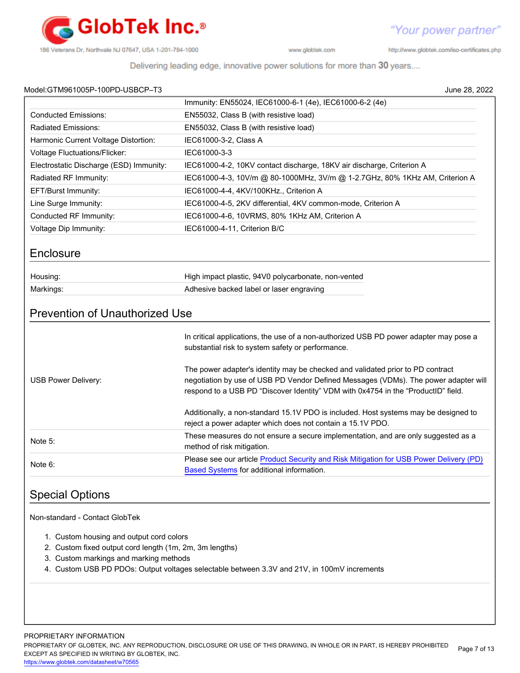

http://www.globtek.com/iso-certificates.php

Delivering leading edge, innovative power solutions for more than 30 years....

| Model:GTM961005P-100PD-USBCP-T3 |  |
|---------------------------------|--|
|                                 |  |

| Model:GTM961005P-100PD-USBCP-T3                                                                                                               | June 28, 2022                                                                                                                                                                                                                                              |
|-----------------------------------------------------------------------------------------------------------------------------------------------|------------------------------------------------------------------------------------------------------------------------------------------------------------------------------------------------------------------------------------------------------------|
|                                                                                                                                               | Immunity: EN55024, IEC61000-6-1 (4e), IEC61000-6-2 (4e)                                                                                                                                                                                                    |
| <b>Conducted Emissions:</b>                                                                                                                   | EN55032, Class B (with resistive load)                                                                                                                                                                                                                     |
| Radiated Emissions:                                                                                                                           | EN55032, Class B (with resistive load)                                                                                                                                                                                                                     |
| Harmonic Current Voltage Distortion:                                                                                                          | IEC61000-3-2, Class A                                                                                                                                                                                                                                      |
| <b>Voltage Fluctuations/Flicker:</b>                                                                                                          | IEC61000-3-3                                                                                                                                                                                                                                               |
| Electrostatic Discharge (ESD) Immunity:                                                                                                       | IEC61000-4-2, 10KV contact discharge, 18KV air discharge, Criterion A                                                                                                                                                                                      |
| Radiated RF Immunity:                                                                                                                         | IEC61000-4-3, 10V/m @ 80-1000MHz, 3V/m @ 1-2.7GHz, 80% 1KHz AM, Criterion A                                                                                                                                                                                |
| EFT/Burst Immunity:                                                                                                                           | IEC61000-4-4, 4KV/100KHz., Criterion A                                                                                                                                                                                                                     |
| Line Surge Immunity:                                                                                                                          | IEC61000-4-5, 2KV differential, 4KV common-mode, Criterion A                                                                                                                                                                                               |
| Conducted RF Immunity:                                                                                                                        | IEC61000-4-6, 10VRMS, 80% 1KHz AM, Criterion A                                                                                                                                                                                                             |
| Voltage Dip Immunity:                                                                                                                         | IEC61000-4-11, Criterion B/C                                                                                                                                                                                                                               |
| Enclosure                                                                                                                                     |                                                                                                                                                                                                                                                            |
| Housing:                                                                                                                                      | High impact plastic, 94V0 polycarbonate, non-vented                                                                                                                                                                                                        |
| Markings:                                                                                                                                     | Adhesive backed label or laser engraving                                                                                                                                                                                                                   |
|                                                                                                                                               | In critical applications, the use of a non-authorized USB PD power adapter may pose a<br>substantial risk to system safety or performance.                                                                                                                 |
| USB Power Delivery:                                                                                                                           | The power adapter's identity may be checked and validated prior to PD contract<br>negotiation by use of USB PD Vendor Defined Messages (VDMs). The power adapter will<br>respond to a USB PD "Discover Identity" VDM with 0x4754 in the "ProductID" field. |
|                                                                                                                                               | Additionally, a non-standard 15.1V PDO is included. Host systems may be designed to<br>reject a power adapter which does not contain a 15.1V PDO.                                                                                                          |
| Note 5:                                                                                                                                       | These measures do not ensure a secure implementation, and are only suggested as a<br>method of risk mitigation.                                                                                                                                            |
| Note 6:                                                                                                                                       | Please see our article Product Security and Risk Mitigation for USB Power Delivery (PD)<br><b>Based Systems</b> for additional information.                                                                                                                |
| <b>Special Options</b>                                                                                                                        |                                                                                                                                                                                                                                                            |
| Non-standard - Contact GlobTek                                                                                                                |                                                                                                                                                                                                                                                            |
| 1. Custom housing and output cord colors<br>2. Custom fixed output cord length (1m, 2m, 3m lengths)<br>3. Custom markings and marking methods | 4. Custom USB PD PDOs: Output voltages selectable between 3.3V and 21V, in 100mV increments                                                                                                                                                                |

PROPRIETARY OF GLOBTEK, INC. ANY REPRODUCTION, DISCLOSURE OR USE OF THIS DRAWING, IN WHOLE OR IN PART, IS HEREBY PROHIBITED EXCEPT AS SPECIFIED IN WRITING BY GLOBTEK, INC. Page 7 of 13

<https://www.globtek.com/datasheet/w70565>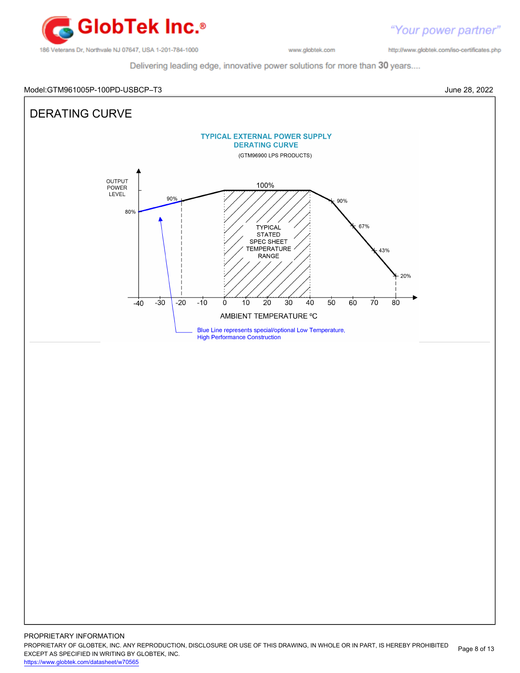

http://www.globtek.com/iso-certificates.php

"Your power partner"

Delivering leading edge, innovative power solutions for more than 30 years....

## Model:GTM961005P-100PD-USBCP–T3 June 28, 2022



PROPRIETARY OF GLOBTEK, INC. ANY REPRODUCTION, DISCLOSURE OR USE OF THIS DRAWING, IN WHOLE OR IN PART, IS HEREBY PROHIBITED EXCEPT AS SPECIFIED IN WRITING BY GLOBTEK, INC. Page 8 of 13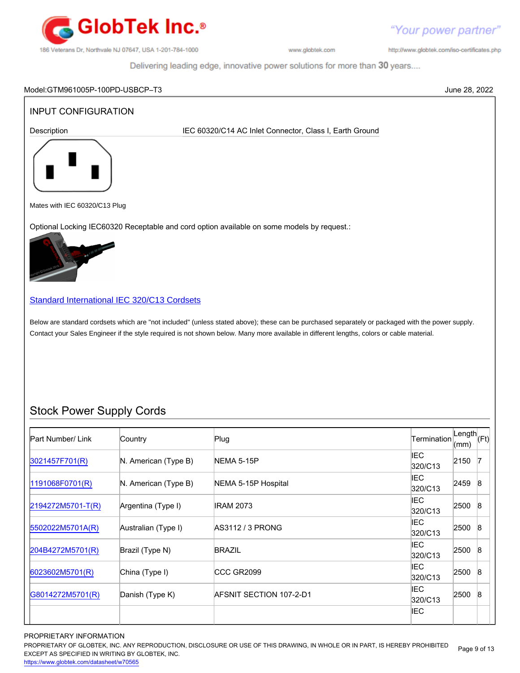

Your power partner"

http://www.globtek.com/iso-certificates.php

IEC

Delivering leading edge, innovative power solutions for more than 30 years....

# Model:GTM961005P-100PD-USBCP–T3 June 28, 2022 INPUT CONFIGURATION Description **IEC 60320/C14 AC Inlet Connector, Class I, Earth Ground** Mates with IEC 60320/C13 Plug Optional Locking IEC60320 Receptable and cord option available on some models by request.: [Standard International IEC 320/C13 Cordsets](http://www.globtek.com/pdf/international-cordsets-with-iec320_c13-701-connector/) Below are standard cordsets which are "not included" (unless stated above); these can be purchased separately or packaged with the power supply. Contact your Sales Engineer if the style required is not shown below. Many more available in different lengths, colors or cable material. Stock Power Supply Cords Part Number/ Link Country Plug Plug Rength Country Plug Length Country Plug Length Length<br>(mm) (Ft)  $\begin{array}{ccc} 3021457F701(R) \end{array}$  $\begin{array}{ccc} 3021457F701(R) \end{array}$  $\begin{array}{ccc} 3021457F701(R) \end{array}$  N. American (Type B) NEMA 5-15P IEC  $320/C13$  2150 7 [1191068F0701\(R\)](http://www.globtek.com/pdf/international-cordsets-with-iec320_c13-701-connector/1191068F0701(R).pdf) N. American (Type B) NEMA 5-15P Hospital International IEC  $320/C13$  2459 8 [2194272M5701-T\(R\)](http://www.globtek.com/pdf/international-cordsets-with-iec320_c13-701-connector/2194272M5701-T(R).pdf) Argentina (Type I) IRAM 2073 IEC  $320/C13$   $2500$  8 [5502022M5701A\(R\)](http://www.globtek.com/pdf/international-cordsets-with-iec320_c13-701-connector/5502022M5701A(R)%20(1).pdf) Australian (Type I) AS3112 / 3 PRONG IEC  $320/C13$  2500 8 [204B4272M5701\(R\)](http://www.globtek.com/pdf/international-cordsets-with-iec320_c13-701-connector/204B4272M5701(R).pdf) Brazil (Type N) BRAZIL BRAZIL BRAZIL BRAZIL IEC<br>320/C13 2500 8 [6023602M5701\(R\)](http://www.globtek.com/pdf/international-cordsets-with-iec320_c13-701-connector/6023602M5701(R)%20(1).pdf) China (Type I) CCC GR2099 CCC GR2010 IEC IEC<br>320/C13 2500 8 [G8014272M5701\(R\)](http://www.globtek.com/pdf/international-cordsets-with-iec320_c13-701-connector/G8014272M5701(R).pdf) Danish (Type K) AFSNIT SECTION 107-2-D1 Assets that the second that the second that the second that the second that the second that the second that the second that the second that the second that the secon  $320/C13$   $2500$  8

## PROPRIETARY INFORMATION

PROPRIETARY OF GLOBTEK, INC. ANY REPRODUCTION, DISCLOSURE OR USE OF THIS DRAWING, IN WHOLE OR IN PART, IS HEREBY PROHIBITED EXCEPT AS SPECIFIED IN WRITING BY GLOBTEK, INC. Page 9 of 13

<https://www.globtek.com/datasheet/w70565>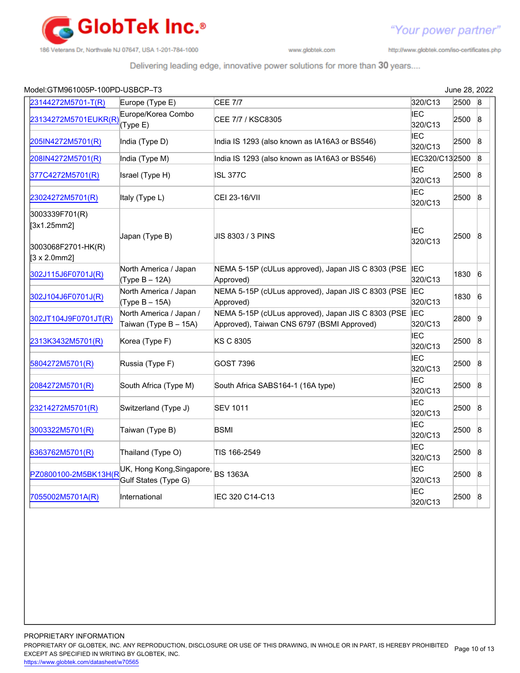

http://www.globtek.com/iso-certificates.php

"Your power partner"

| Model:GTM961005P-100PD-USBCP-T3                                             |                                                   |                                                                                                  |                       | June 28, 2022 |                 |
|-----------------------------------------------------------------------------|---------------------------------------------------|--------------------------------------------------------------------------------------------------|-----------------------|---------------|-----------------|
| 23144272M5701-T(R)                                                          | Europe (Type E)                                   | <b>CEE 7/7</b>                                                                                   | 320/C13               | 2500          | 8               |
| 23134272M5701EUKR(R)                                                        | Europe/Korea Combo<br>(Type E)                    | CEE 7/7 / KSC8305                                                                                | IEC<br>320/C13        | 2500          | $\mathsf{B}$    |
| 205IN4272M5701(R)                                                           | India (Type D)                                    | India IS 1293 (also known as IA16A3 or BS546)                                                    | <b>IEC</b><br>320/C13 | 2500          | 8               |
| 208IN4272M5701(R)                                                           | India (Type M)                                    | India IS 1293 (also known as IA16A3 or BS546)                                                    | IEC320/C132500        |               | $\mathsf{8}$    |
| 377C4272M5701(R)                                                            | Israel (Type H)                                   | <b>ISL 377C</b>                                                                                  | <b>IEC</b><br>320/C13 | 2500          | $\mathsf{B}$    |
| 23024272M5701(R)                                                            | Italy (Type L)                                    | CEI 23-16/VII                                                                                    | <b>IEC</b><br>320/C13 | 2500          | 8               |
| 3003339F701(R)<br>[3x1.25mm2]<br>3003068F2701-HK(R)<br>$[3 \times 2.0$ mm2] | Japan (Type B)                                    | JIS 8303 / 3 PINS                                                                                | <b>IEC</b><br>320/C13 | 2500          | $\mathbf{8}$    |
| 302J115J6F0701J(R)                                                          | North America / Japan<br>(Type B - 12A)           | NEMA 5-15P (cULus approved), Japan JIS C 8303 (PSE IEC<br>Approved)                              | 320/C13               | 1830          | $\sqrt{6}$      |
| 302J104J6F0701J(R)                                                          | North America / Japan<br>$(Type B - 15A)$         | NEMA 5-15P (cULus approved), Japan JIS C 8303 (PSE IEC<br>Approved)                              | 320/C13               | 1830          | $6\overline{6}$ |
| 302JT104J9F0701JT(R)                                                        | North America / Japan /<br>Taiwan (Type B - 15A)  | NEMA 5-15P (cULus approved), Japan JIS C 8303 (PSE<br>Approved), Taiwan CNS 6797 (BSMI Approved) | <b>IEC</b><br>320/C13 | 2800          | $\overline{9}$  |
| 2313K3432M5701(R)                                                           | Korea (Type F)                                    | KS C 8305                                                                                        | <b>IEC</b><br>320/C13 | 2500          | $\vert 8$       |
| 5804272M5701(R)                                                             | Russia (Type F)                                   | <b>GOST 7396</b>                                                                                 | <b>IEC</b><br>320/C13 | 2500          | $\vert 8$       |
| 2084272M5701(R)                                                             | South Africa (Type M)                             | South Africa SABS164-1 (16A type)                                                                | IEC<br>320/C13        | 2500          | $\mathbf{8}$    |
| 23214272M5701(R)                                                            | Switzerland (Type J)                              | <b>SEV 1011</b>                                                                                  | IEC<br>320/C13        | 2500          | $\vert 8$       |
| 3003322M5701(R)                                                             | Taiwan (Type B)                                   | <b>BSMI</b>                                                                                      | IEC<br>320/C13        | 2500          | $\vert 8$       |
| 6363762M5701(R)                                                             | Thailand (Type O)                                 | TIS 166-2549                                                                                     | <b>IEC</b><br>320/C13 | 2500          | $\mathsf{8}$    |
| PZ0800100-2M5BK13H(R                                                        | UK, Hong Kong, Singapore,<br>Gulf States (Type G) | <b>BS 1363A</b>                                                                                  | <b>IEC</b><br>320/C13 | 2500          | $\mathsf{8}$    |
| 7055002M5701A(R)                                                            | International                                     | IEC 320 C14-C13                                                                                  | <b>IEC</b><br>320/C13 | 2500          | $\mathsf{8}$    |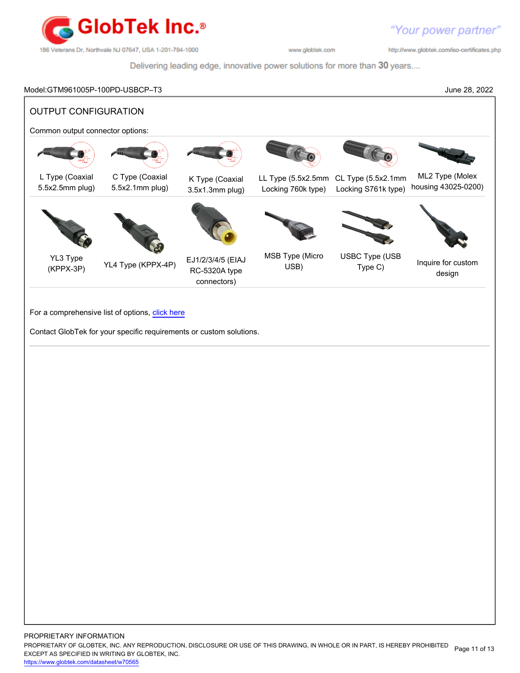

http://www.globtek.com/iso-certificates.php

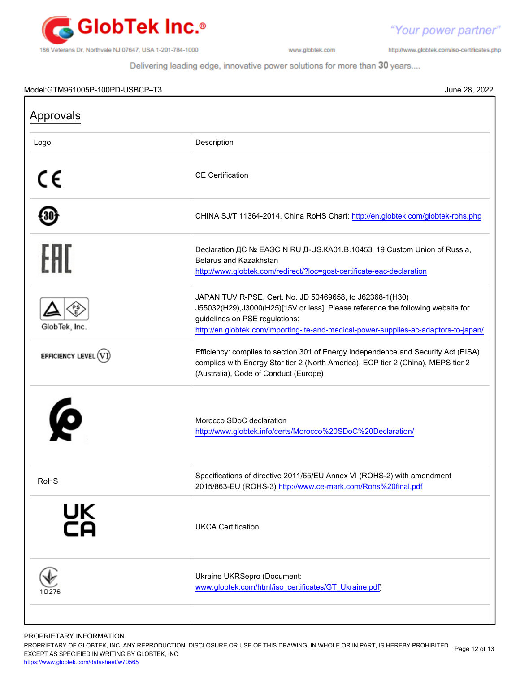

http://www.globtek.com/iso-certificates.php

"Your power partner"

Delivering leading edge, innovative power solutions for more than 30 years....

### Model:GTM961005P-100PD-USBCP–T3 June 28, 2022

Approvals Logo **Description** CE CE Certification CHINA SJ/T 11364-2014, China RoHS Chart:<http://en.globtek.com/globtek-rohs.php> 30 Declaration ДС № ЕАЭС N RU Д-US.КА01.В.10453\_19 Custom Union of Russia, Belarus and Kazakhstan <http://www.globtek.com/redirect/?loc=gost-certificate-eac-declaration> JAPAN TUV R-PSE, Cert. No. JD 50469658, to J62368-1(H30) , J55032(H29),J3000(H25)[15V or less]. Please reference the following website for guidelines on PSE regulations: GlobTek, Inc. <http://en.globtek.com/importing-ite-and-medical-power-supplies-ac-adaptors-to-japan/> Efficiency: complies to section 301 of Energy Independence and Security Act (EISA) EFFICIENCY LEVEL  $(VI)$ complies with Energy Star tier 2 (North America), ECP tier 2 (China), MEPS tier 2 (Australia), Code of Conduct (Europe) Morocco SDoC declaration <http://www.globtek.info/certs/Morocco%20SDoC%20Declaration/> RoHS Specifications of directive 2011/65/EU Annex VI (ROHS-2) with amendment 2015/863-EU (ROHS-3)<http://www.ce-mark.com/Rohs%20final.pdf> ŪΚ UKCA Certification Ukraine UKRSepro (Document: [www.globtek.com/html/iso\\_certificates/GT\\_Ukraine.pdf](https://www.globtek.com/html/iso_certificates/GT_Ukraine.pdf))  $10276$ 

PROPRIETARY INFORMATION

PROPRIETARY OF GLOBTEK, INC. ANY REPRODUCTION, DISCLOSURE OR USE OF THIS DRAWING, IN WHOLE OR IN PART, IS HEREBY PROHIBITED Page 12 of 13<br>EXALER 10 OREGIEIER WILKENIG BY OLOREEK WO EXCEPT AS SPECIFIED IN WRITING BY GLOBTEK, INC.

<https://www.globtek.com/datasheet/w70565>